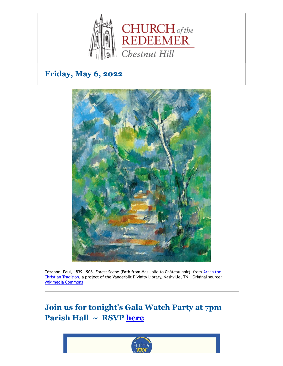

# **Friday, May 6, 2022**



[Cézanne, Paul, 1839-1906. Forest Scene \(Path from Mas Jolie to Château noir\), from](https://diglib.library.vanderbilt.edu/act-imagelink.pl?RC=57978) Art in the Christian Tradition, a project of the Vanderbilt Divinity Library, Nashville, TN. Original source: [Wikimedia Commons](https://commons.wikimedia.org/wiki/File:Paul_C%C3%A9zanne_-_Forest_Scene_(Path_from_Mas_Jolie_to_Ch%C3%A2teau_noir)_-_Google_Art_Project.jpg)

# **Join us for tonight's Gala Watch Party at 7pm Parish Hall ~ RSVP [here](mailto:office@redeemerchestnuthill.org)**

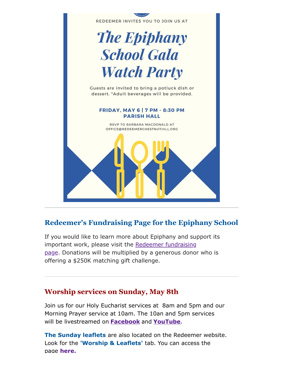

### **Redeemer's Fundraising Page for the Epiphany School**

If you would like to learn more about Epiphany and support its important work, please visit the Redeemer fundraising page. [Donations will be multiplied by a generous donor](https://give.epiphanyschool.com/fundraiser/3894017.) who is offering a \$250K matching gift challenge.

### **Worship services on Sunday, May 8th**

Join us for our Holy Eucharist services at 8am and 5pm and our Morning Prayer service at 10am. The 10an and 5pm services will be livestreamed on **[Facebook](https://www.facebook.com/redeemerchestnuthill)** and **[YouTube](https://www.youtube.com/channel/UCuF2ATr93WfFYaj4XlyKKDw)**.

**The Sunday leaflets** are also located on the Redeemer website. Look for the **'Worship & Leaflets'** tab. You can access the page **[here.](https://www.redeemerchestnuthill.org/worship-services)**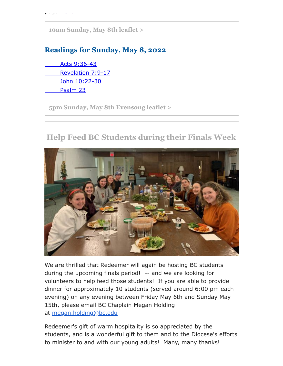**[10am Sunday, May 8th leaflet >](https://drive.google.com/file/d/1mUcw2ws6rtPD3FmRdqxB2d0Kc78gqRc7/view?usp=sharing)**

## **Readings for Sunday, May 8, 2022**

[Acts 9:36-43](https://lectionarypage.net/YearC_RCL/Easter/CEaster4_RCL.html#ot1) [Revelation 7:9-17](https://lectionarypage.net/YearC_RCL/Easter/CEaster4_RCL.html#nt1) [John 10:22-30](https://lectionarypage.net/YearC_RCL/Easter/CEaster4_RCL.html#gsp1) [Psalm 23](https://lectionarypage.net/YearC_RCL/Easter/CEaster4_RCL.html#ps1)

**[5pm Sunday, May 8th Evensong leaflet >](https://drive.google.com/file/d/1mb2R_cWKZmtPn32bLU9rqbcUxVwBs6cU/view?usp=sharing)**

# **Help Feed BC Students during their Finals Week**



We are thrilled that Redeemer will again be hosting BC students during the upcoming finals period! -- and we are looking for volunteers to help feed those students! If you are able to provide dinner for approximately 10 students (served around 6:00 pm each evening) on any evening between Friday May 6th and Sunday May 15th, please email BC Chaplain Megan Holding at [megan.holding@bc.edu](mailto:megan.holding@bc.edu)

Redeemer's gift of warm hospitality is so appreciated by the students, and is a wonderful gift to them and to the Diocese's efforts to minister to and with our young adults! Many, many thanks!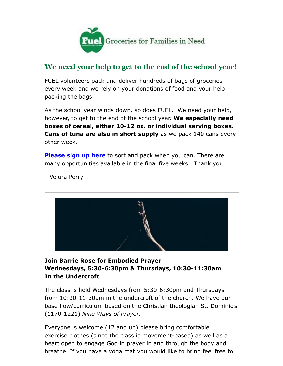

## **We need your help to get to the end of the school year!**

FUEL volunteers pack and deliver hundreds of bags of groceries every week and we rely on your donations of food and your help packing the bags.

As the school year winds down, so does FUEL. We need your help, however, to get to the end of the school year. **We especially need boxes of cereal, either 10-12 oz. or individual serving boxes. Cans of tuna are also in short supply** as we pack 140 cans every other week.

**[Please sign up here](https://www.redeemerchestnuthill.org/EmailTracker/LinkTracker.ashx?linkAndRecipientCode=Fvws2JeO%2brUltxXfbD%2bc7gwkPEvGZPe527p5WZjqcx5PtdVYQyTnfXG9vBJV1AqZHpGDgSYmy9Bzlt51sf8HAe%2fwlDxFtFQyZN%2bsaCTPJ2U%3d)** to sort and pack when you can. There are many opportunities available in the final five weeks. Thank you!

--Velura Perry



#### **Join Barrie Rose for Embodied Prayer Wednesdays, 5:30-6:30pm & Thursdays, 10:30-11:30am In the Undercroft**

The class is held Wednesdays from 5:30-6:30pm and Thursdays from 10:30-11:30am in the undercroft of the church. We have our base flow/curriculum based on the Christian theologian St. Dominic's (1170-1221) *Nine Ways of Prayer.*

Everyone is welcome (12 and up) please bring comfortable exercise clothes (since the class is movement-based) as well as a heart open to engage God in prayer in and through the body and breathe. If you have a yoga mat you would like to bring feel free to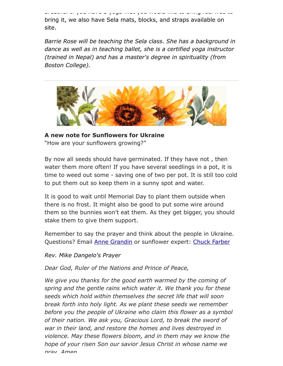breathe. If you have a yoga mat you would like to bring feel free to bring it, we also have Sela mats, blocks, and straps available on site.

*Barrie Rose will be teaching the Sela class. She has a background in dance as well as in teaching ballet, she is a certified yoga instructor (trained in Nepal) and has a master's degree in spirituality (from Boston College).*



**A new note for Sunflowers for Ukraine** "How are your sunflowers growing?"

By now all seeds should have germinated. If they have not , then water them more often! If you have several seedlings in a pot, it is time to weed out some - saving one of two per pot. It is still too cold to put them out so keep them in a sunny spot and water.

It is good to wait until Memorial Day to plant them outside when there is no frost. It might also be good to put some wire around them so the bunnies won't eat them. As they get bigger, you should stake them to give them support.

Remember to say the prayer and think about the people in Ukraine. Questions? Email **Anne Grandin** or sunflower expert: [Chuck Farber](https://www.redeemerchestnuthill.org/chuck%20farchar@aol.com)

*Rev. Mike Dangelo's Prayer*

*Dear God, Ruler of the Nations and Prince of Peace,*

*We give you thanks for the good earth warmed by the coming of spring and the gentle rains which water it. We thank you for these seeds which hold within themselves the secret life that will soon break forth into holy light. As we plant these seeds we remember before you the people of Ukraine who claim this flower as a symbol of their nation. We ask you, Gracious Lord, to break the sword of war in their land, and restore the homes and lives destroyed in violence. May these flowers bloom, and in them may we know the hope of your risen Son our savior Jesus Christ in whose name we pray Amen*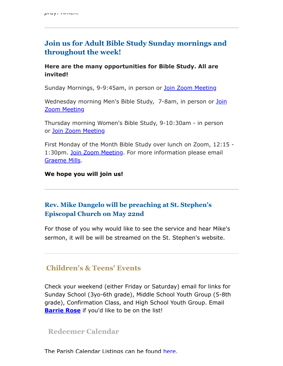### **Join us for Adult Bible Study Sunday mornings and throughout the week!**

#### **Here are the many opportunities for Bible Study. All are invited!**

Sunday Mornings, 9-9:45am, in person or [Join Zoom Meeting](https://us02web.zoom.us/j/86566228912?pwd=aGxWTU1PU3Y3TDZsVTdmbXg2UnNvZz09)

[Wednesday morning Men's Bible Study, 7-8am,](https://us02web.zoom.us/j/89392200698?pwd=czIzYmlKT1JCRmkrdlBFM2lJaGdkZz09) in person or Join Zoom Meeting

Thursday morning Women's Bible Study, 9-10:30am - in person or [Join Zoom Meeting](https://us02web.zoom.us/j/82431832126?pwd=ZXBLQUFnL2haSEZyWll3b0R0MEpmUT09#success#success)

First Monday of the Month Bible Study over lunch on Zoom, 12:15 - 1:30pm. [Join Zoom Meeting](https://cambridgeassociates.zoom.us/j/4580616678?pwd=akl5c0tvL0tQdUo3cFJZVWlZS2QvZz09). For more information please email [Graeme Mills](mailto:gmills@cambridgeassociates.com).

**We hope you will join us!**

### **Rev. Mike Dangelo will be preaching at St. Stephen's Episcopal Church on May 22nd**

For those of you why would like to see the service and hear Mike's sermon, it will be will be streamed on the St. Stephen's website.

### **Children's & Teens' Events**

Check your weekend (either Friday or Saturday) email for links for Sunday School (3yo-6th grade), Middle School Youth Group (5-8th grade), Confirmation Class, and High School Youth Group. Email **[Barrie Rose](mailto:families@redeemerchestnuthill.org)** if you'd like to be on the list!

#### **Redeemer Calendar**

The Parish Calendar Listings can be found [here.](https://calendar.google.com/calendar/b/1/r/week/2020/8/19?tab=mc&pli=1)